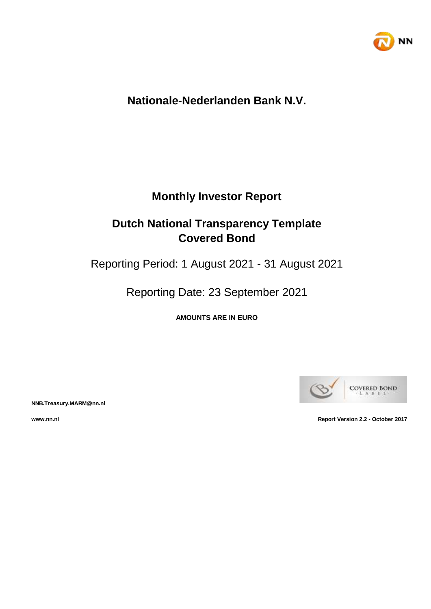

# **Nationale-Nederlanden Bank N.V.**

# **Monthly Investor Report**

# **Dutch National Transparency Template Covered Bond**

Reporting Period: 1 August 2021 - 31 August 2021

Reporting Date: 23 September 2021

**AMOUNTS ARE IN EURO**



**NNB.Treasury.MARM@nn.nl**

**www.nn.nl Report Version 2.2 - October 2017**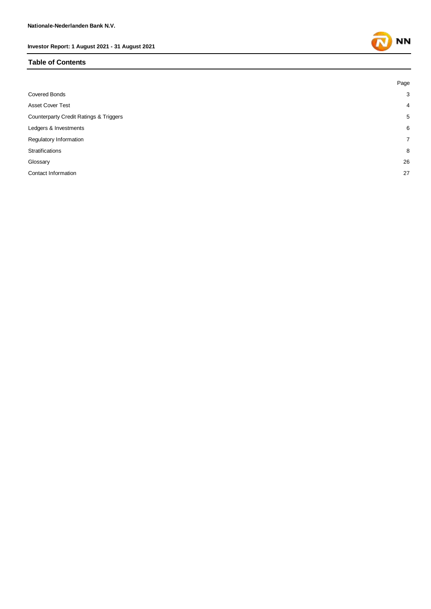#### **Table of Contents**

|                                        | Page           |
|----------------------------------------|----------------|
| <b>Covered Bonds</b>                   | 3              |
| <b>Asset Cover Test</b>                | $\overline{4}$ |
| Counterparty Credit Ratings & Triggers | 5              |
| Ledgers & Investments                  | 6              |
| Regulatory Information                 | $\overline{7}$ |
| Stratifications                        | 8              |
| Glossary                               | 26             |
| Contact Information                    | 27             |
|                                        |                |

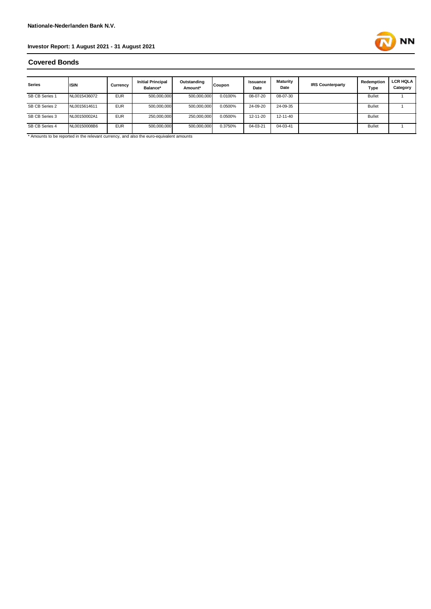# **NN**

#### **Covered Bonds**

| <b>Series</b>  | <b>ISIN</b>  | Currency   | <b>Initial Principal</b><br>Balance* | Outstanding<br>Amount* | Coupon  | <b>Issuance</b><br>Date | Maturity<br>Date | <b>IRS Counterparty</b> | Redemption<br>Type | <b>LCR HQLA</b><br>Category |
|----------------|--------------|------------|--------------------------------------|------------------------|---------|-------------------------|------------------|-------------------------|--------------------|-----------------------------|
| SB CB Series 1 | NL0015436072 | <b>EUR</b> | 500,000,000                          | 500,000,000            | 0.0100% | 08-07-20                | 08-07-30         |                         | <b>Bullet</b>      |                             |
| SB CB Series 2 | NL0015614611 | <b>EUR</b> | 500,000,000                          | 500,000,000            | 0.0500% | 24-09-20                | 24-09-35         |                         | <b>Bullet</b>      |                             |
| SB CB Series 3 | NL00150002A1 | <b>EUR</b> | 250,000,000                          | 250,000,000            | 0.0500% | $12 - 11 - 20$          | 12-11-40         |                         | <b>Bullet</b>      |                             |
| SB CB Series 4 | NL00150008B6 | <b>EUR</b> | 500,000,000                          | 500,000,000            | 0.3750% | 04-03-21                | 04-03-41         |                         | <b>Bullet</b>      |                             |

\* Amounts to be reported in the relevant currency, and also the euro-equivalent amounts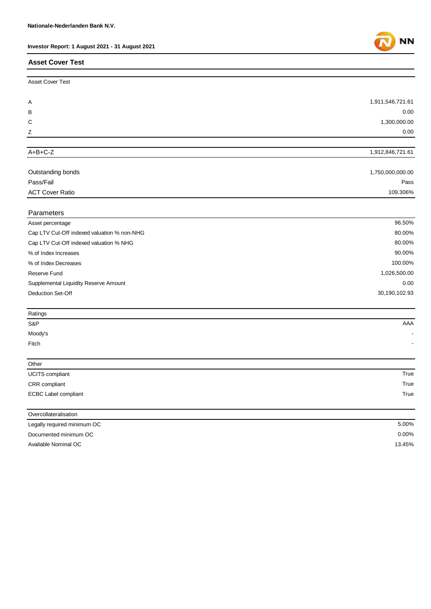#### **Asset Cover Test**

| <b>Asset Cover Test</b>                     |                  |
|---------------------------------------------|------------------|
|                                             |                  |
| Α                                           | 1,911,546,721.61 |
| В                                           | 0.00             |
| С                                           | 1,300,000.00     |
| Z                                           | 0.00             |
| $A+B+C-Z$                                   |                  |
|                                             | 1,912,846,721.61 |
| Outstanding bonds                           | 1,750,000,000.00 |
| Pass/Fail                                   | Pass             |
| <b>ACT Cover Ratio</b>                      | 109.306%         |
| Parameters                                  |                  |
| Asset percentage                            | 96.50%           |
| Cap LTV Cut-Off indexed valuation % non-NHG | 80.00%           |
| Cap LTV Cut-Off indexed valuation % NHG     | 80.00%           |
| % of Index Increases                        | 90.00%           |
| % of Index Decreases                        | 100.00%          |
| Reserve Fund                                | 1,026,500.00     |
| Supplemental Liquidity Reserve Amount       | 0.00             |
| <b>Deduction Set-Off</b>                    | 30,190,102.93    |
| Ratings                                     |                  |
| S&P                                         | AAA              |
| Moody's                                     |                  |
| Fitch                                       |                  |
| Other                                       |                  |
| UCITS compliant                             | True             |
| CRR compliant                               | True             |
| ECBC Label compliant                        | True             |
| Overcollateralisation                       |                  |
| Legally required minimum OC                 | 5.00%            |
| Documented minimum OC                       | 0.00%            |

Available Nominal OC



13.45%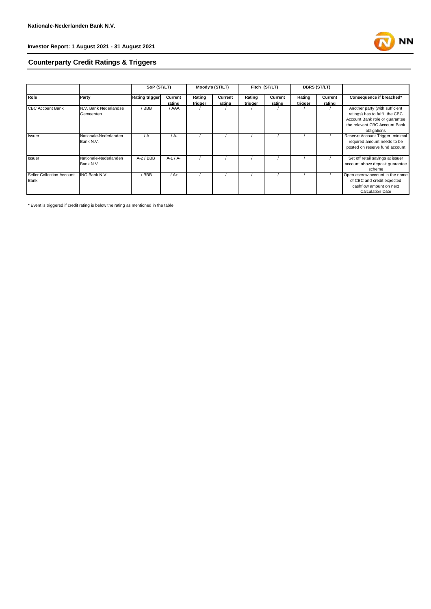

## **Counterparty Credit Ratings & Triggers**

|                           |                       | S&P (ST/LT)           |          | Moody's (ST/LT) |         | Fitch (ST/LT) |         | <b>DBRS (ST/LT)</b> |         |                                  |
|---------------------------|-----------------------|-----------------------|----------|-----------------|---------|---------------|---------|---------------------|---------|----------------------------------|
| Role                      | Party                 | <b>Rating trigger</b> | Current  | Rating          | Current | Rating        | Current | Rating              | Current | Consequence if breached*         |
|                           |                       |                       | rating   | trigger         | rating  | trigger       | rating  | trigger             | rating  |                                  |
| <b>CBC Account Bank</b>   | N.V. Bank Nederlandse | / BBB                 | / AAA    |                 |         |               |         |                     |         | Another party (with sufficient   |
|                           | Gemeenten             |                       |          |                 |         |               |         |                     |         | ratings) has to fulfill the CBC  |
|                           |                       |                       |          |                 |         |               |         |                     |         | Account Bank role or quarantee   |
|                           |                       |                       |          |                 |         |               |         |                     |         | the relevant CBC Account Bank    |
|                           |                       |                       |          |                 |         |               |         |                     |         | obligations                      |
| Issuer                    | Nationale-Nederlanden | / A                   | / A-     |                 |         |               |         |                     |         | Reserve Account Trigger, minimal |
|                           | Bank N.V.             |                       |          |                 |         |               |         |                     |         | required amount needs to be      |
|                           |                       |                       |          |                 |         |               |         |                     |         | posted on reserve fund account   |
|                           |                       |                       |          |                 |         |               |         |                     |         |                                  |
| Issuer                    | Nationale-Nederlanden | $A-2$ / BBB           | $A-1/A-$ |                 |         |               |         |                     |         | Set off retail savings at issuer |
|                           | Bank N.V.             |                       |          |                 |         |               |         |                     |         | account above deposit quarantee  |
|                           |                       |                       |          |                 |         |               |         |                     |         | scheme                           |
| Seller Collection Account | <b>ING Bank N.V.</b>  | / BBB                 | $/A+$    |                 |         |               |         |                     |         | Open escrow account in the name  |
| Bank                      |                       |                       |          |                 |         |               |         |                     |         | of CBC and credit expected       |
|                           |                       |                       |          |                 |         |               |         |                     |         | cashflow amount on next          |
|                           |                       |                       |          |                 |         |               |         |                     |         | <b>Calculation Date</b>          |

\* Event is triggered if credit rating is below the rating as mentioned in the table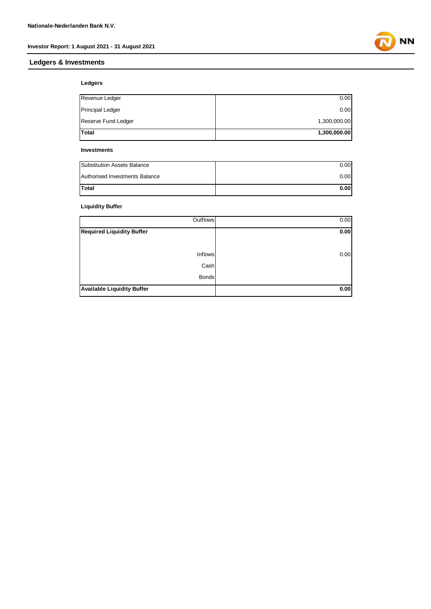#### **Ledgers & Investments**

**NN** 

#### **Ledgers**

| Total                   | 1,300,000.00 |
|-------------------------|--------------|
| Reserve Fund Ledger     | 1,300,000.00 |
| <b>Principal Ledger</b> | 0.00         |
| Revenue Ledger          | 0.00         |

#### **Investments**

| Total                          | 0.00 |
|--------------------------------|------|
| Authorised Investments Balance | 0.00 |
| Substitution Assets Balance    | 0.00 |

#### **Liquidity Buffer**

| Outflows                          | 0.00 |
|-----------------------------------|------|
| <b>Required Liquidity Buffer</b>  | 0.00 |
|                                   |      |
| <b>Inflows</b>                    | 0.00 |
| Cash                              |      |
| <b>Bonds</b>                      |      |
| <b>Available Liquidity Buffer</b> | 0.00 |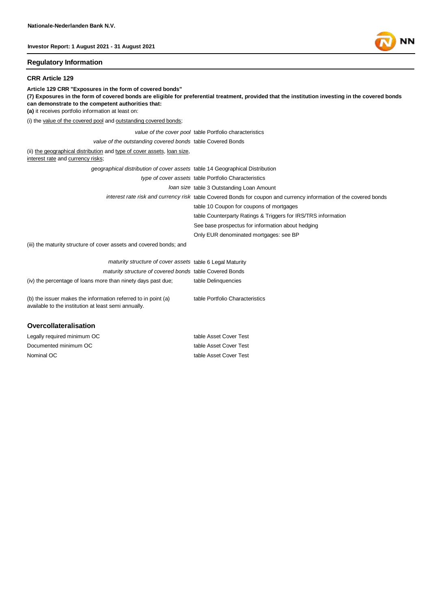#### **Regulatory Information**

#### **CRR Article 129**

**Article 129 CRR "Exposures in the form of covered bonds" (7) Exposures in the form of covered bonds are eligible for preferential treatment, provided that the institution investing in the covered bonds can demonstrate to the competent authorities that: (a)** it receives portfolio information at least on: (i) the value of the covered pool and outstanding covered bonds; *value of the cover pool* table Portfolio characteristics *value of the outstanding covered bonds* table Covered Bonds (ii) the geographical distribution and type of cover assets, loan size, interest rate and currency risks; *geographical distribution of cover assets* table 14 Geographical Distribution *type of cover assets* table Portfolio Characteristics *loan size* table 3 Outstanding Loan Amount *interest rate risk and currency risk* table Covered Bonds for coupon and currency information of the covered bonds table 10 Coupon for coupons of mortgages table Counterparty Ratings & Triggers for IRS/TRS information See base prospectus for information about hedging Only EUR denominated mortgages: see BP (iii) the maturity structure of cover assets and covered bonds; and *maturity structure of cover assets* table 6 Legal Maturity *maturity structure of covered bonds* table Covered Bonds (iv) the percentage of loans more than ninety days past due; table Delinquencies (b) the issuer makes the information referred to in point (a) table Portfolio Characteristics

available to the institution at least semi annually.

#### **Overcollateralisation**

Nominal OC table Asset Cover Test Legally required minimum OC table Asset Cover Test Documented minimum OC table Asset Cover Test

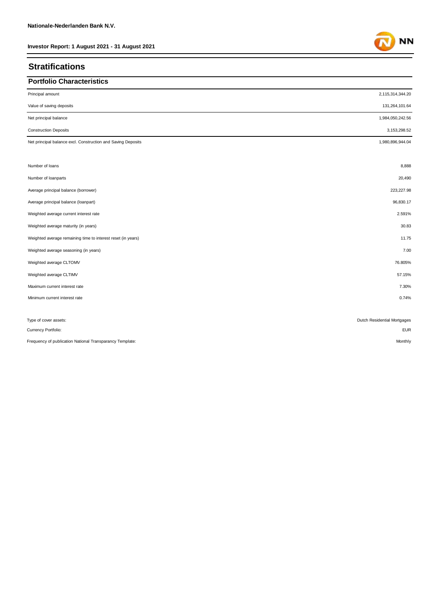### **Stratifications**

| <b>Portfolio Characteristics</b>                             |                             |
|--------------------------------------------------------------|-----------------------------|
| Principal amount                                             | 2,115,314,344.20            |
| Value of saving deposits                                     | 131,264,101.64              |
| Net principal balance                                        | 1,984,050,242.56            |
| <b>Construction Deposits</b>                                 | 3, 153, 298.52              |
| Net principal balance excl. Construction and Saving Deposits | 1,980,896,944.04            |
| Number of loans                                              | 8,888                       |
| Number of loanparts                                          | 20,490                      |
| Average principal balance (borrower)                         | 223,227.98                  |
| Average principal balance (loanpart)                         | 96,830.17                   |
| Weighted average current interest rate                       | 2.591%                      |
| Weighted average maturity (in years)                         | 30.83                       |
| Weighted average remaining time to interest reset (in years) | 11.75                       |
| Weighted average seasoning (in years)                        | 7.00                        |
| Weighted average CLTOMV                                      | 76.805%                     |
| Weighted average CLTIMV                                      | 57.15%                      |
| Maximum current interest rate                                | 7.30%                       |
| Minimum current interest rate                                | 0.74%                       |
| Type of cover assets:                                        | Dutch Residential Mortgages |

Currency Portfolio: EUR

Frequency of publication National Transparancy Template: Monthly

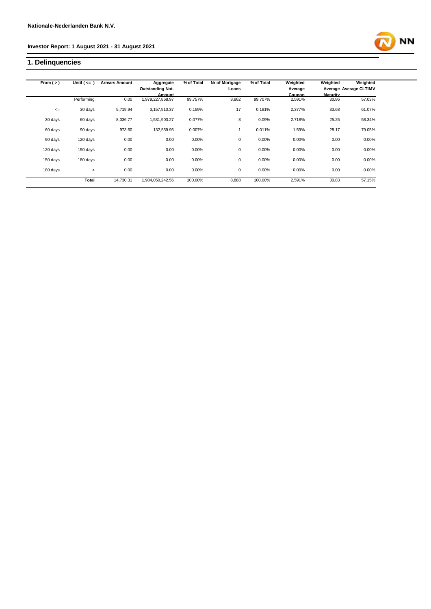#### **1. Delinquencies**



| From $(>)$ | Until $($ <= $)$ | <b>Arrears Amount</b> | Aggregate<br><b>Outstanding Not.</b> | % of Total | Nr of Mortgage<br>Loans | % of Total | Weighted<br>Average | Weighted | Weighted<br>Average Average CLTIMV |
|------------|------------------|-----------------------|--------------------------------------|------------|-------------------------|------------|---------------------|----------|------------------------------------|
|            |                  |                       | Amount                               |            |                         |            | <b>Coupon</b>       | Maturity |                                    |
|            | Performing       | 0.00                  | 979,227,868.97                       | 99.757%    | 8,862                   | 99.707%    | 2.591%              | 30.86    | 57.03%                             |
| $\leq$     | 30 days          | 5.719.94              | 3,157,910.37                         | 0.159%     | 17                      | 0.191%     | 2.377%              | 33.68    | 61.07%                             |
| 30 days    | 60 days          | 8.036.77              | 1.531.903.27                         | 0.077%     | 8                       | 0.09%      | 2.718%              | 25.25    | 58.34%                             |
| 60 days    | 90 days          | 973.60                | 132,559.95                           | 0.007%     |                         | 0.011%     | 1.59%               | 28.17    | 79.05%                             |
| 90 days    | 120 days         | 0.00                  | 0.00                                 | 0.00%      | 0                       | 0.00%      | 0.00%               | 0.00     | 0.00%                              |
| 120 days   | 150 days         | 0.00                  | 0.00                                 | 0.00%      | 0                       | 0.00%      | 0.00%               | 0.00     | 0.00%                              |
| 150 days   | 180 days         | 0.00                  | 0.00                                 | 0.00%      | 0                       | 0.00%      | 0.00%               | 0.00     | 0.00%                              |
| 180 days   | $\geq$           | 0.00                  | 0.00                                 | 0.00%      | $\mathbf 0$             | 0.00%      | 0.00%               | 0.00     | 0.00%                              |
|            | <b>Total</b>     | 14.730.31             | 1.984.050.242.56                     | 100.00%    | 8,888                   | 100.00%    | 2.591%              | 30.83    | 57.15%                             |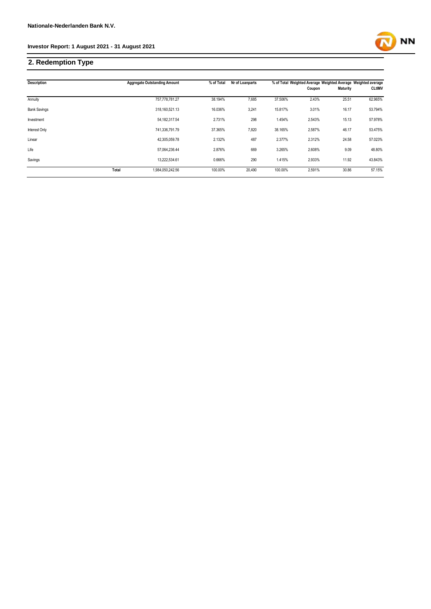### **2. Redemption Type**

| <b>Description</b>  |       | <b>Aggregate Outstanding Amount</b> | % of Total | Nr of Loanparts |         | % of Total Weighted Average Weighted Average Weighted average |          |               |
|---------------------|-------|-------------------------------------|------------|-----------------|---------|---------------------------------------------------------------|----------|---------------|
|                     |       |                                     |            |                 |         | Coupon                                                        | Maturity | <b>CLtIMV</b> |
| Annuity             |       | 757.778.781.27                      | 38.194%    | 7,685           | 37.506% | 2.43%                                                         | 25.51    | 62.965%       |
| <b>Bank Savings</b> |       | 318,160,521.13                      | 16.036%    | 3,241           | 15.817% | 3.01%                                                         | 16.17    | 53.794%       |
| Investment          |       | 54, 182, 317.54                     | 2.731%     | 298             | 1.454%  | 2.543%                                                        | 15.13    | 57.978%       |
| Interest Only       |       | 741,336,791.79                      | 37.365%    | 7,820           | 38.165% | 2.587%                                                        | 46.17    | 53.475%       |
| Linear              |       | 42,305,059.78                       | 2.132%     | 487             | 2.377%  | 2.312%                                                        | 24.58    | 57.023%       |
| Life                |       | 57,064,236.44                       | 2.876%     | 669             | 3.265%  | 2.608%                                                        | 9.09     | 48.80%        |
| Savings             |       | 13,222,534.61                       | 0.666%     | 290             | 1.415%  | 2.933%                                                        | 11.92    | 43.843%       |
|                     | Total | 1,984,050,242.56                    | 100.00%    | 20,490          | 100.00% | 2.591%                                                        | 30.86    | 57.15%        |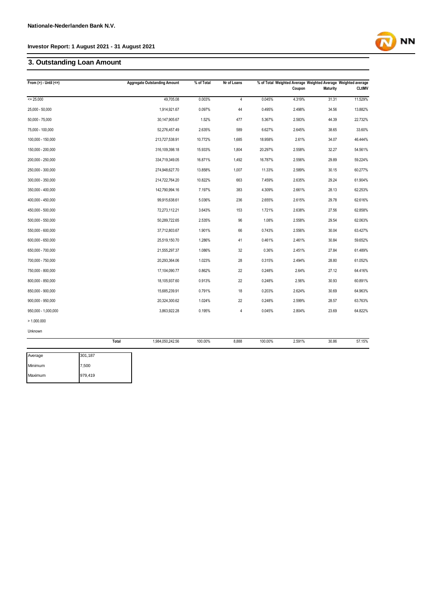#### **3. Outstanding Loan Amount**

| From $(>) -$ Until $(<=)$ |       | <b>Aggregate Outstanding Amount</b> | % of Total | Nr of Loans    |         | Coupon | % of Total Weighted Average Weighted Average Weighted average<br><b>Maturity</b> | <b>CLtIMV</b> |
|---------------------------|-------|-------------------------------------|------------|----------------|---------|--------|----------------------------------------------------------------------------------|---------------|
| $= 25.000$                |       | 49,705.08                           | 0.003%     | $\overline{4}$ | 0.045%  | 4.319% | 31.31                                                                            | 11.529%       |
| 25,000 - 50,000           |       | 1,914,921.67                        | 0.097%     | 44             | 0.495%  | 2.498% | 34.56                                                                            | 13.882%       |
| $50,000 - 75,000$         |       | 30,147,905.67                       | 1.52%      | 477            | 5.367%  | 2.583% | 44.39                                                                            | 22.732%       |
| 75,000 - 100,000          |       | 52,276,457.49                       | 2.635%     | 589            | 6.627%  | 2.645% | 38.65                                                                            | 33.60%        |
| 100,000 - 150,000         |       | 213,727,538.91                      | 10.772%    | 1,685          | 18.958% | 2.61%  | 34.07                                                                            | 46.444%       |
| 150,000 - 200,000         |       | 316,109,398.18                      | 15.933%    | 1,804          | 20.297% | 2.558% | 32.27                                                                            | 54.561%       |
| 200,000 - 250,000         |       | 334,719,349.05                      | 16.871%    | 1,492          | 16.787% | 2.556% | 29.89                                                                            | 59.224%       |
| 250,000 - 300,000         |       | 274,948,627.70                      | 13.858%    | 1,007          | 11.33%  | 2.589% | 30.15                                                                            | 60.277%       |
| 300,000 - 350,000         |       | 214,722,764.20                      | 10.822%    | 663            | 7.459%  | 2.635% | 29.24                                                                            | 61.904%       |
| 350,000 - 400,000         |       | 142,790,994.16                      | 7.197%     | 383            | 4.309%  | 2.661% | 28.13                                                                            | 62.253%       |
| 400,000 - 450,000         |       | 99,915,638.61                       | 5.036%     | 236            | 2.655%  | 2.615% | 29.78                                                                            | 62.616%       |
| 450,000 - 500,000         |       | 72,273,112.21                       | 3.643%     | 153            | 1.721%  | 2.638% | 27.56                                                                            | 62.858%       |
| 500,000 - 550,000         |       | 50,289,722.65                       | 2.535%     | 96             | 1.08%   | 2.558% | 29.54                                                                            | 62.063%       |
| 550,000 - 600,000         |       | 37,712,803.67                       | 1.901%     | 66             | 0.743%  | 2.556% | 30.04                                                                            | 63.427%       |
| 600,000 - 650,000         |       | 25,519,150.70                       | 1.286%     | 41             | 0.461%  | 2.461% | 30.84                                                                            | 59.652%       |
| 650,000 - 700,000         |       | 21,555,297.37                       | 1.086%     | 32             | 0.36%   | 2.451% | 27.84                                                                            | 61.489%       |
| 700,000 - 750,000         |       | 20,293,364.06                       | 1.023%     | 28             | 0.315%  | 2.494% | 28.80                                                                            | 61.052%       |
| 750,000 - 800,000         |       | 17,104,090.77                       | 0.862%     | 22             | 0.248%  | 2.64%  | 27.12                                                                            | 64.416%       |
| 800,000 - 850,000         |       | 18,105,937.60                       | 0.913%     | 22             | 0.248%  | 2.56%  | 30.93                                                                            | 60.891%       |
| 850,000 - 900,000         |       | 15,685,239.91                       | 0.791%     | 18             | 0.203%  | 2.624% | 30.69                                                                            | 64.963%       |
| $900,000 - 950,000$       |       | 20,324,300.62                       | 1.024%     | 22             | 0.248%  | 2.599% | 28.57                                                                            | 63.763%       |
| 950,000 - 1,000,000       |       | 3,863,922.28                        | 0.195%     | 4              | 0.045%  | 2.804% | 23.69                                                                            | 64.822%       |
| > 1.000.000               |       |                                     |            |                |         |        |                                                                                  |               |
| Unknown                   |       |                                     |            |                |         |        |                                                                                  |               |
|                           | Total | 1,984,050,242.56                    | 100.00%    | 8,888          | 100.00% | 2.591% | 30.86                                                                            | 57.15%        |

| Average | 301,187 |
|---------|---------|
| Minimum | 7,500   |
| Maximum | 979,419 |

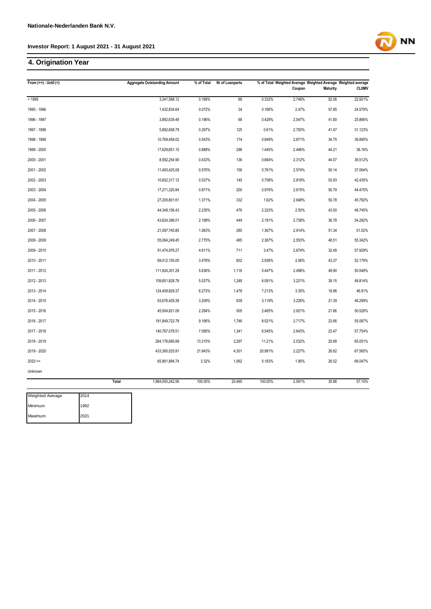#### **4. Origination Year**

| From $(>=) -$ Until $($  |       | <b>Aggregate Outstanding Amount</b> | % of Total | Nr of Loanparts |         | Coupon | % of Total Weighted Average Weighted Average Weighted average<br><b>Maturity</b> | <b>CLtIMV</b> |
|--------------------------|-------|-------------------------------------|------------|-----------------|---------|--------|----------------------------------------------------------------------------------|---------------|
| < 1995                   |       | 3,341,588.12                        | 0.168%     | 68              | 0.332%  | 2.749% | 52.06                                                                            | 22.921%       |
| 1995 - 1996              |       | 1,432,834.64                        | 0.072%     | 34              | 0.166%  | 2.47%  | 57.85                                                                            | 24.579%       |
| 1996 - 1997              |       | 3,892,639.49                        | 0.196%     | 88              | 0.429%  | 2.547% | 41.80                                                                            | 25.866%       |
| 1997 - 1998              |       | 5,892,658.79                        | 0.297%     | 125             | 0.61%   | 2.793% | 41.47                                                                            | 31.123%       |
| 1998 - 1999              |       | 10,769,459.02                       | 0.543%     | 174             | 0.849%  | 2.671% | 34.75                                                                            | 36.895%       |
| 1999 - 2000              |       | 17,629,651.15                       | 0.889%     | 296             | 1.445%  | 2.446% | 44.21                                                                            | 36.16%        |
| 2000 - 2001              |       | 8,592,254.90                        | 0.433%     | 136             | 0.664%  | 2.312% | 44.07                                                                            | 36.512%       |
| 2001 - 2002              |       | 11,400,425.08                       | 0.575%     | 156             | 0.761%  | 2.574% | 50.14                                                                            | 37.064%       |
| 2002 - 2003              |       | 10,652,317.12                       | 0.537%     | 145             | 0.708%  | 2.819% | 53.93                                                                            | 42.435%       |
| 2003 - 2004              |       | 17,271,320.84                       | 0.871%     | 200             | 0.976%  | 2.615% | 50.79                                                                            | 44.475%       |
| 2004 - 2005              |       | 27,200,801.61                       | 1.371%     | 332             | 1.62%   | 2.648% | 50.78                                                                            | 45.792%       |
| 2005 - 2006              |       | 44,348,156.43                       | 2.235%     | 476             | 2.323%  | 2.50%  | 43.50                                                                            | 48.745%       |
| 2006 - 2007              |       | 43,624,396.01                       | 2.199%     | 449             | 2.191%  | 2.738% | 36.78                                                                            | 54.292%       |
| 2007 - 2008              |       | 21,097,745.85                       | 1.063%     | 280             | 1.367%  | 2.914% | 51.34                                                                            | 51.52%        |
| 2008 - 2009              |       | 55,064,249.45                       | 2.775%     | 485             | 2.367%  | 2.553% | 48.51                                                                            | 55.342%       |
| 2009 - 2010              |       | 91,474,976.27                       | 4.611%     | 711             | 3.47%   | 2.674% | 32.48                                                                            | 57.929%       |
| 2010 - 2011              |       | 69,012,150.05                       | 3.478%     | 602             | 2.938%  | 2.06%  | 43.27                                                                            | 52.179%       |
| 2011 - 2012              |       | 111,824,301.29                      | 5.636%     | 1,116           | 5.447%  | 2.498% | 49.90                                                                            | 50.548%       |
| 2012 - 2013              |       | 109,851,828.78                      | 5.537%     | 1,248           | 6.091%  | 3.221% | 39.15                                                                            | 48.814%       |
| 2013 - 2014              |       | 124,459,829.37                      | 6.273%     | 1,478           | 7.213%  | 3.35%  | 19.96                                                                            | 46.91%        |
| 2014 - 2015              |       | 63,676,429.38                       | 3.209%     | 639             | 3.119%  | 3.226% | 21.39                                                                            | 48.299%       |
| 2015 - 2016              |       | 45,504,821.09                       | 2.294%     | 505             | 2.465%  | 2.921% | 21.66                                                                            | 50.528%       |
| 2016 - 2017              |       | 181,849,722.78                      | 9.166%     | 1,746           | 8.521%  | 2.717% | 23.66                                                                            | 55.087%       |
| 2017 - 2018              |       | 140,767,078.51                      | 7.095%     | 1,341           | 6.545%  | 2.643% | 23.47                                                                            | 57.754%       |
| 2018 - 2019              |       | 264,176,695.89                      | 13.315%    | 2,297           | 11.21%  | 2.532% | 25.68                                                                            | 65.051%       |
| 2019 - 2020              |       | 433,380,025.91                      | 21.843%    | 4,301           | 20.991% | 2.227% | 26.62                                                                            | 67.565%       |
| $2020 =$                 |       | 65,861,884.74                       | 3.32%      | 1,062           | 5.183%  | 1.90%  | 26.52                                                                            | 66.047%       |
| Unknown                  |       |                                     |            |                 |         |        |                                                                                  |               |
|                          | Total | 1,984,050,242.56                    | 100.00%    | 20,490          | 100.00% | 2.591% | 30.86                                                                            | 57.15%        |
| 2014<br>Weighted Average |       |                                     |            |                 |         |        |                                                                                  |               |

| Weighted Average | <b>I2014</b> |
|------------------|--------------|
| Minimum          | 1992         |
| Maximum          | 2021         |

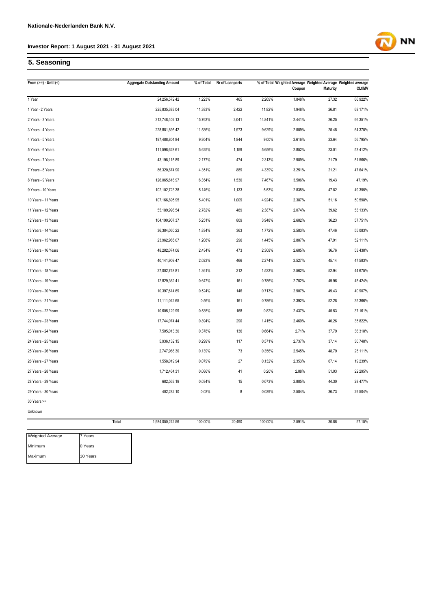# **5. Seasoning**

| From $(>=) -$ Until $($ |              | <b>Aggregate Outstanding Amount</b> | % of Total | Nr of Loanparts |         | % of Total Weighted Average Weighted Average Weighted average<br>Coupon | Maturity | <b>CLtIMV</b> |
|-------------------------|--------------|-------------------------------------|------------|-----------------|---------|-------------------------------------------------------------------------|----------|---------------|
| 1 Year                  |              | 24,256,572.42                       | 1.223%     | 465             | 2.269%  | 1.848%                                                                  | 27.32    | 66.922%       |
| 1 Year - 2 Years        |              | 225,835,383.04                      | 11.383%    | 2,422           | 11.82%  | 1.948%                                                                  | 26.81    | 68.171%       |
| 2 Years - 3 Years       |              | 312,748,402.13                      | 15.763%    | 3,041           | 14.841% | 2.441%                                                                  | 26.25    | 66.351%       |
| 3 Years - 4 Years       |              | 228,881,895.42                      | 11.536%    | 1,973           | 9.629%  | 2.559%                                                                  | 25.45    | 64.375%       |
| 4 Years - 5 Years       |              | 197,488,804.84                      | 9.954%     | 1,844           | 9.00%   | 2.616%                                                                  | 23.64    | 56.795%       |
| 5 Years - 6 Years       |              | 111,598,628.61                      | 5.625%     | 1,159           | 5.656%  | 2.852%                                                                  | 23.01    | 53.412%       |
| 6 Years - 7 Years       |              | 43,198,115.89                       | 2.177%     | 474             | 2.313%  | 2.989%                                                                  | 21.79    | 51.566%       |
| 7 Years - 8 Years       |              | 86,320,874.90                       | 4.351%     | 889             | 4.339%  | 3.251%                                                                  | 21.21    | 47.641%       |
| 8 Years - 9 Years       |              | 126,065,616.97                      | 6.354%     | 1,530           | 7.467%  | 3.506%                                                                  | 19.43    | 47.19%        |
| 9 Years - 10 Years      |              | 102,102,723.38                      | 5.146%     | 1,133           | 5.53%   | 2.835%                                                                  | 47.82    | 49.395%       |
| 10 Years - 11 Years     |              | 107,166,895.95                      | 5.401%     | 1,009           | 4.924%  | 2.387%                                                                  | 51.16    | 50.598%       |
| 11 Years - 12 Years     |              | 55,189,998.54                       | 2.782%     | 489             | 2.387%  | 2.074%                                                                  | 39.62    | 53.133%       |
| 12 Years - 13 Years     |              | 104,190,907.37                      | 5.251%     | 809             | 3.948%  | 2.682%                                                                  | 36.23    | 57.751%       |
| 13 Years - 14 Years     |              | 36,384,060.22                       | 1.834%     | 363             | 1.772%  | 2.583%                                                                  | 47.46    | 55.083%       |
| 14 Years - 15 Years     |              | 23,962,965.07                       | 1.208%     | 296             | 1.445%  | 2.887%                                                                  | 47.91    | 52.111%       |
| 15 Years - 16 Years     |              | 48,282,074.06                       | 2.434%     | 473             | 2.308%  | 2.685%                                                                  | 36.76    | 53.438%       |
| 16 Years - 17 Years     |              | 40,141,909.47                       | 2.023%     | 466             | 2.274%  | 2.527%                                                                  | 45.14    | 47.583%       |
| 17 Years - 18 Years     |              | 27,002,748.81                       | 1.361%     | 312             | 1.523%  | 2.562%                                                                  | 52.94    | 44.675%       |
| 18 Years - 19 Years     |              | 12,829,362.41                       | 0.647%     | 161             | 0.786%  | 2.752%                                                                  | 49.96    | 45.424%       |
| 19 Years - 20 Years     |              | 10,397,614.69                       | 0.524%     | 146             | 0.713%  | 2.907%                                                                  | 49.43    | 40.907%       |
| 20 Years - 21 Years     |              | 11,111,042.65                       | 0.56%      | 161             | 0.786%  | 2.392%                                                                  | 52.28    | 35.366%       |
| 21 Years - 22 Years     |              | 10,605,129.99                       | 0.535%     | 168             | 0.82%   | 2.437%                                                                  | 45.53    | 37.161%       |
| 22 Years - 23 Years     |              | 17,744,074.44                       | 0.894%     | 290             | 1.415%  | 2.469%                                                                  | 40.26    | 35.822%       |
| 23 Years - 24 Years     |              | 7,505,013.30                        | 0.378%     | 136             | 0.664%  | 2.71%                                                                   | 37.79    | 36.318%       |
| 24 Years - 25 Years     |              | 5,936,132.15                        | 0.299%     | 117             | 0.571%  | 2.737%                                                                  | 37.14    | 30.748%       |
| 25 Years - 26 Years     |              | 2,747,966.30                        | 0.139%     | 73              | 0.356%  | 2.545%                                                                  | 48.79    | 25.111%       |
| 26 Years - 27 Years     |              | 1,558,019.94                        | 0.079%     | 27              | 0.132%  | 2.353%                                                                  | 67.14    | 19.239%       |
| 27 Years - 28 Years     |              | 1,712,464.31                        | 0.086%     | 41              | 0.20%   | 2.88%                                                                   | 51.03    | 22.295%       |
| 28 Years - 29 Years     |              | 682,563.19                          | 0.034%     | 15              | 0.073%  | 2.885%                                                                  | 44.30    | 28.477%       |
| 29 Years - 30 Years     |              | 402,282.10                          | 0.02%      | 8               | 0.039%  | 2.584%                                                                  | 36.73    | 29.504%       |
| $30$ Years $>=$         |              |                                     |            |                 |         |                                                                         |          |               |
| Unknown                 |              |                                     |            |                 |         |                                                                         |          |               |
|                         | <b>Total</b> | 1,984,050,242.56                    | 100.00%    | 20,490          | 100.00% | 2.591%                                                                  | 30.86    | 57.15%        |
| Weighted Average        | 7 Years      |                                     |            |                 |         |                                                                         |          |               |
|                         |              |                                     |            |                 |         |                                                                         |          |               |



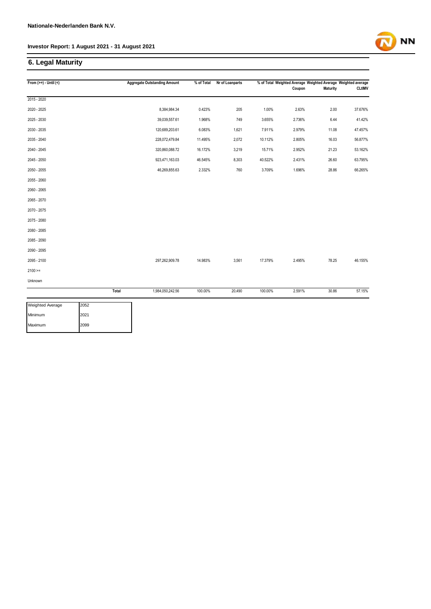#### **6. Legal Maturity**

| From $(>=) -$ Until $($         |       | <b>Aggregate Outstanding Amount</b> | % of Total | Nr of Loanparts |         | % of Total Weighted Average Weighted Average Weighted average<br>Coupon | <b>Maturity</b> | <b>CLtIMV</b> |
|---------------------------------|-------|-------------------------------------|------------|-----------------|---------|-------------------------------------------------------------------------|-----------------|---------------|
|                                 |       |                                     |            |                 |         |                                                                         |                 |               |
| 2015 - 2020                     |       |                                     |            |                 |         |                                                                         |                 |               |
| 2020 - 2025                     |       | 8,384,984.34                        | 0.423%     | 205             | 1.00%   | 2.63%                                                                   | 2.00            | 37.676%       |
| 2025 - 2030                     |       | 39,039,557.61                       | 1.968%     | 749             | 3.655%  | 2.736%                                                                  | 6.44            | 41.42%        |
| 2030 - 2035                     |       | 120,689,203.61                      | 6.083%     | 1,621           | 7.911%  | 2.979%                                                                  | 11.08           | 47.457%       |
| 2035 - 2040                     |       | 228,072,479.84                      | 11.495%    | 2,072           | 10.112% | 2.805%                                                                  | 16.03           | 56.877%       |
| 2040 - 2045                     |       | 320,860,088.72                      | 16.172%    | 3,219           | 15.71%  | 2.952%                                                                  | 21.23           | 53.162%       |
| 2045 - 2050                     |       | 923,471,163.03                      | 46.545%    | 8,303           | 40.522% | 2.431%                                                                  | 26.60           | 63.795%       |
| 2050 - 2055                     |       | 46,269,855.63                       | 2.332%     | 760             | 3.709%  | 1.696%                                                                  | 28.86           | 66.265%       |
| 2055 - 2060                     |       |                                     |            |                 |         |                                                                         |                 |               |
| 2060 - 2065                     |       |                                     |            |                 |         |                                                                         |                 |               |
| 2065 - 2070                     |       |                                     |            |                 |         |                                                                         |                 |               |
| 2070 - 2075                     |       |                                     |            |                 |         |                                                                         |                 |               |
| 2075 - 2080                     |       |                                     |            |                 |         |                                                                         |                 |               |
| 2080 - 2085                     |       |                                     |            |                 |         |                                                                         |                 |               |
| 2085 - 2090                     |       |                                     |            |                 |         |                                                                         |                 |               |
| 2090 - 2095                     |       |                                     |            |                 |         |                                                                         |                 |               |
| 2095 - 2100                     |       | 297,262,909.78                      | 14.983%    | 3,561           | 17.379% | 2.495%                                                                  | 78.25           | 46.155%       |
| $2100 >=$                       |       |                                     |            |                 |         |                                                                         |                 |               |
| Unknown                         |       |                                     |            |                 |         |                                                                         |                 |               |
|                                 | Total | 1,984,050,242.56                    | 100.00%    | 20,490          | 100.00% | 2.591%                                                                  | 30.86           | 57.15%        |
| 2052<br><b>Weighted Average</b> |       |                                     |            |                 |         |                                                                         |                 |               |

| <b>Weighted Average</b> | 2052 |
|-------------------------|------|
| Minimum                 | 2021 |
| Maximum                 | 2099 |

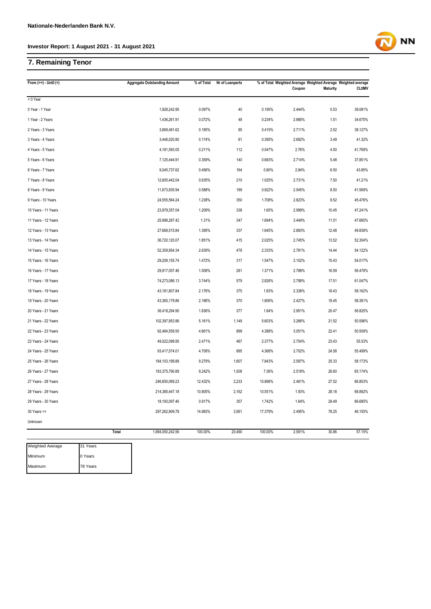#### **7. Remaining Tenor**

| From $(>=) -$ Until $($ |       | <b>Aggregate Outstanding Amount</b> | % of Total | Nr of Loanparts |         | % of Total Weighted Average Weighted Average Weighted average<br>Coupon | <b>Maturity</b> | <b>CLtIMV</b> |
|-------------------------|-------|-------------------------------------|------------|-----------------|---------|-------------------------------------------------------------------------|-----------------|---------------|
| < 0 Year                |       |                                     |            |                 |         |                                                                         |                 |               |
| 0 Year - 1 Year         |       | 1,928,242.95                        | 0.097%     | 40              | 0.195%  | 2.444%                                                                  | 0.53            | 39.081%       |
| 1 Year - 2 Years        |       | 1,436,261.91                        | 0.072%     | 48              | 0.234%  | 2.666%                                                                  | 1.51            | 34.675%       |
| 2 Years - 3 Years       |       | 3,669,481.62                        | 0.185%     | 85              | 0.415%  | 2.711%                                                                  | 2.52            | 38.127%       |
| 3 Years - 4 Years       |       | 3,446,020.80                        | 0.174%     | 81              | 0.395%  | 2.692%                                                                  | 3.49            | 41.32%        |
| 4 Years - 5 Years       |       | 4,181,593.05                        | 0.211%     | 112             | 0.547%  | 2.76%                                                                   | 4.50            | 41.769%       |
| 5 Years - 6 Years       |       | 7,125,444.91                        | 0.359%     | 140             | 0.683%  | 2.714%                                                                  | 5.48            | 37.851%       |
| 6 Years - 7 Years       |       | 9,045,737.62                        | 0.456%     | 164             | 0.80%   | 2.84%                                                                   | 6.50            | 43.85%        |
| 7 Years - 8 Years       |       | 12,605,442.04                       | 0.635%     | 210             | 1.025%  | 2.731%                                                                  | 7.50            | 41.21%        |
| 8 Years - 9 Years       |       | 11,673,935.94                       | 0.588%     | 189             | 0.922%  | 2.545%                                                                  | 8.50            | 41.569%       |
| 9 Years - 10 Years      |       | 24,555,564.24                       | 1.238%     | 350             | 1.708%  | 2.823%                                                                  | 9.52            | 45.476%       |
| 10 Years - 11 Years     |       | 23,979,357.04                       | 1.209%     | 338             | 1.65%   | 2.999%                                                                  | 10.45           | 47.241%       |
| 11 Years - 12 Years     |       | 25,998,287.42                       | 1.31%      | 347             | 1.694%  | 3.449%                                                                  | 11.51           | 47.665%       |
| 12 Years - 13 Years     |       | 27,668,515.84                       | 1.395%     | 337             | 1.645%  | 2.883%                                                                  | 12.48           | 49.838%       |
| 13 Years - 14 Years     |       | 36,720,120.07                       | 1.851%     | 415             | 2.025%  | 2.745%                                                                  | 13.52           | 52.304%       |
| 14 Years - 15 Years     |       | 52,359,954.34                       | 2.639%     | 478             | 2.333%  | 2.781%                                                                  | 14.44           | 54.122%       |
| 15 Years - 16 Years     |       | 29,208,155.74                       | 1.472%     | 317             | 1.547%  | 3.102%                                                                  | 15.43           | 54.017%       |
| 16 Years - 17 Years     |       | 29,917,057.46                       | 1.508%     | 281             | 1.371%  | 2.788%                                                                  | 16.59           | 56.478%       |
| 17 Years - 18 Years     |       | 74,273,086.13                       | 3.744%     | 579             | 2.826%  | 2.799%                                                                  | 17.51           | 61.047%       |
| 18 Years - 19 Years     |       | 43,181,807.84                       | 2.176%     | 375             | 1.83%   | 2.338%                                                                  | 18.43           | 58.162%       |
| 19 Years - 20 Years     |       | 43,365,179.86                       | 2.186%     | 370             | 1.806%  | 2.427%                                                                  | 19.45           | 58.381%       |
| 20 Years - 21 Years     |       | 36,418,294.90                       | 1.836%     | 377             | 1.84%   | 2.951%                                                                  | 20.47           | 56.825%       |
| 21 Years - 22 Years     |       | 102,397,953.96                      | 5.161%     | 1,148           | 5.603%  | 3.266%                                                                  | 21.52           | 50.596%       |
| 22 Years - 23 Years     |       | 92,484,559.50                       | 4.661%     | 899             | 4.388%  | 3.051%                                                                  | 22.41           | 50.509%       |
| 23 Years - 24 Years     |       | 49,022,098.95                       | 2.471%     | 487             | 2.377%  | 2.754%                                                                  | 23.43           | 55.53%        |
| 24 Years - 25 Years     |       | 93,417,574.01                       | 4.708%     | 895             | 4.368%  | 2.702%                                                                  | 24.58           | 55.499%       |
| 25 Years - 26 Years     |       | 184,103,199.88                      | 9.279%     | 1,607           | 7.843%  | 2.587%                                                                  | 25.33           | 58.173%       |
| 26 Years - 27 Years     |       | 183,375,790.89                      | 9.242%     | 1,508           | 7.36%   | 2.518%                                                                  | 26.60           | 65.174%       |
| 27 Years - 28 Years     |       | 246,650,069.23                      | 12.432%    | 2,233           | 10.898% | 2.481%                                                                  | 27.52           | 66.803%       |
| 28 Years - 29 Years     |       | 214,385,447.18                      | 10.805%    | 2,162           | 10.551% | 1.93%                                                                   | 28.18           | 68.892%       |
| 29 Years - 30 Years     |       | 18,193,097.46                       | 0.917%     | 357             | 1.742%  | 1.64%                                                                   | 29.49           | 66.685%       |
| $30$ Years $>=$         |       | 297,262,909.78                      | 14.983%    | 3,561           | 17.379% | 2.495%                                                                  | 78.25           | 46.155%       |
| Unknown                 |       |                                     |            |                 |         |                                                                         |                 |               |
|                         | Total | 1,984,050,242.56                    | 100.00%    | 20,490          | 100.00% | 2.591%                                                                  | 30.86           | 57.15%        |



**NN**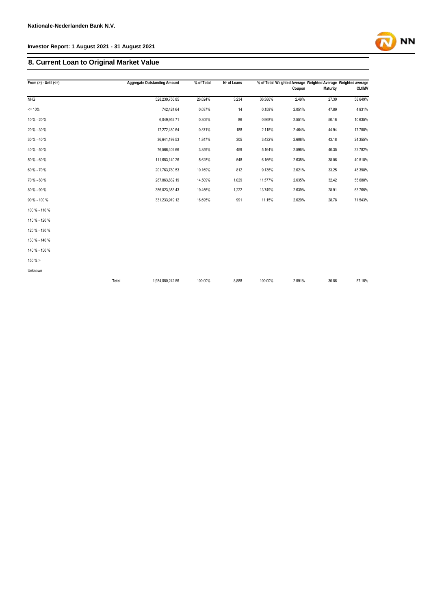## **8. Current Loan to Original Market Value**

| From $(>) -$ Until $(<=)$ |       | <b>Aggregate Outstanding Amount</b> | % of Total | Nr of Loans |         | % of Total Weighted Average Weighted Average Weighted average |          |               |
|---------------------------|-------|-------------------------------------|------------|-------------|---------|---------------------------------------------------------------|----------|---------------|
|                           |       |                                     |            |             |         | Coupon                                                        | Maturity | <b>CLtIMV</b> |
| <b>NHG</b>                |       | 528,239,756.85                      | 26.624%    | 3,234       | 36.386% | 2.49%                                                         | 27.39    | 58.649%       |
| $= 10%$                   |       | 742,424.64                          | 0.037%     | 14          | 0.158%  | 2.051%                                                        | 47.89    | 4.931%        |
| 10 % - 20 %               |       | 6,049,952.71                        | 0.305%     | 86          | 0.968%  | 2.551%                                                        | 50.16    | 10.635%       |
| 20 % - 30 %               |       | 17,272,480.64                       | 0.871%     | 188         | 2.115%  | 2.464%                                                        | 44.94    | 17.758%       |
| 30 % - 40 %               |       | 36,641,199.53                       | 1.847%     | 305         | 3.432%  | 2.608%                                                        | 43.18    | 24.355%       |
| 40 % - 50 %               |       | 76,566,402.66                       | 3.859%     | 459         | 5.164%  | 2.596%                                                        | 40.35    | 32.782%       |
| 50 % - 60 %               |       | 111,653,140.26                      | 5.628%     | 548         | 6.166%  | 2.635%                                                        | 38.06    | 40.518%       |
| 60 % - 70 %               |       | 201,763,780.53                      | 10.169%    | 812         | 9.136%  | 2.621%                                                        | 33.25    | 48.398%       |
| 70 % - 80 %               |       | 287,863,832.19                      | 14.509%    | 1,029       | 11.577% | 2.635%                                                        | 32.42    | 55.688%       |
| 80 % - 90 %               |       | 386,023,353.43                      | 19.456%    | 1,222       | 13.749% | 2.639%                                                        | 28.91    | 63.765%       |
| 90 % - 100 %              |       | 331,233,919.12                      | 16.695%    | 991         | 11.15%  | 2.629%                                                        | 28.78    | 71.543%       |
| 100 % - 110 %             |       |                                     |            |             |         |                                                               |          |               |
| 110 % - 120 %             |       |                                     |            |             |         |                                                               |          |               |
| 120 % - 130 %             |       |                                     |            |             |         |                                                               |          |               |
| 130 % - 140 %             |       |                                     |            |             |         |                                                               |          |               |
| 140 % - 150 %             |       |                                     |            |             |         |                                                               |          |               |
| 150% >                    |       |                                     |            |             |         |                                                               |          |               |
| Unknown                   |       |                                     |            |             |         |                                                               |          |               |
|                           | Total | 1,984,050,242.56                    | 100.00%    | 8,888       | 100.00% | 2.591%                                                        | 30.86    | 57.15%        |

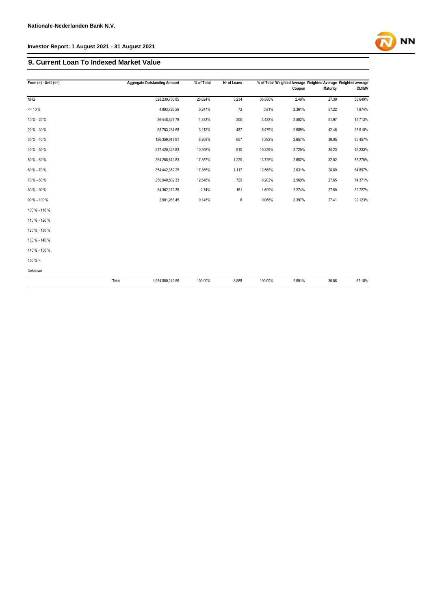#### **9. Current Loan To Indexed Market Value**

| From $(>) -$ Until $(<=)$ |       | <b>Aggregate Outstanding Amount</b> | % of Total | Nr of Loans |         | Coupon | % of Total Weighted Average Weighted Average Weighted average<br><b>Maturity</b> | <b>CLtIMV</b> |
|---------------------------|-------|-------------------------------------|------------|-------------|---------|--------|----------------------------------------------------------------------------------|---------------|
| <b>NHG</b>                |       | 528,239,756.85                      | 26.624%    | 3,234       | 36.386% | 2.49%  | 27.39                                                                            | 58.649%       |
| $= 10 \%$                 |       | 4,893,726.29                        | 0.247%     | 72          | 0.81%   | 2.361% | 57.22                                                                            | 7.874%        |
|                           |       |                                     |            |             |         |        |                                                                                  |               |
| 10 % - 20 %               |       | 26,448,327.78                       | 1.333%     | 305         | 3.432%  | 2.502% | 51.97                                                                            | 15.713%       |
| 20 % - 30 %               |       | 63,753,284.68                       | 3.213%     | 487         | 5.479%  | 2.689% | 42.46                                                                            | 25.518%       |
| 30 % - 40 %               |       | 126,359,913.91                      | 6.369%     | 657         | 7.392%  | 2.657% | 39.05                                                                            | 35.457%       |
| 40 % - 50 %               |       | 217,420,329.83                      | 10.958%    | 910         | 10.239% | 2.725% | 34.23                                                                            | 45.233%       |
| 50 % - 60 %               |       | 354,288,612.83                      | 17.857%    | 1,220       | 13.726% | 2.652% | 32.02                                                                            | 55.275%       |
| 60 % - 70 %               |       | 354,442,352.25                      | 17.865%    | 1,117       | 12.568% | 2.631% | 28.69                                                                            | 64.897%       |
| 70 % - 80 %               |       | 250,940,502.33                      | 12.648%    | 729         | 8.202%  | 2.569% | 27.65                                                                            | 74.371%       |
| 80 % - 90 %               |       | 54,362,172.36                       | 2.74%      | 151         | 1.699%  | 2.274% | 27.59                                                                            | 82.727%       |
| 90 % - 100 %              |       | 2,901,263.45                        | 0.146%     | 6           | 0.068%  | 2.397% | 27.41                                                                            | 92.123%       |
| 100 % - 110 %             |       |                                     |            |             |         |        |                                                                                  |               |
| 110 % - 120 %             |       |                                     |            |             |         |        |                                                                                  |               |
| 120 % - 130 %             |       |                                     |            |             |         |        |                                                                                  |               |
| 130 % - 140 %             |       |                                     |            |             |         |        |                                                                                  |               |
| 140 % - 150 %             |       |                                     |            |             |         |        |                                                                                  |               |
| $150 \%$ >                |       |                                     |            |             |         |        |                                                                                  |               |
| Unknown                   |       |                                     |            |             |         |        |                                                                                  |               |
|                           | Total | 1,984,050,242.56                    | 100.00%    | 8,888       | 100.00% | 2.591% | 30.86                                                                            | 57.15%        |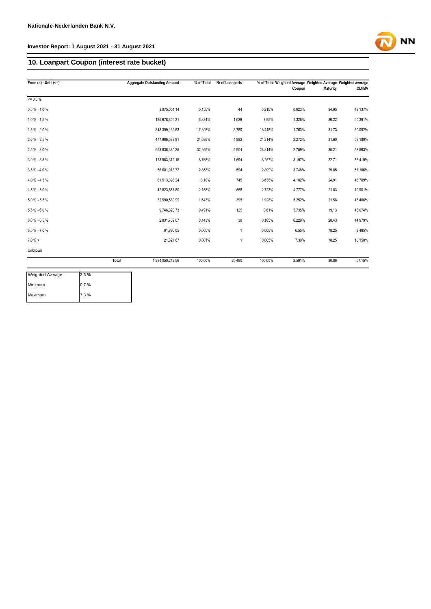#### **10. Loanpart Coupon (interest rate bucket)**

| From $(>) -$ Until $(<=)$ |       | <b>Aggregate Outstanding Amount</b> | % of Total | Nr of Loanparts |         | Coupon | % of Total Weighted Average Weighted Average Weighted average<br><b>Maturity</b> | <b>CLtIMV</b> |
|---------------------------|-------|-------------------------------------|------------|-----------------|---------|--------|----------------------------------------------------------------------------------|---------------|
| $= 0.5 \%$                |       |                                     |            |                 |         |        |                                                                                  |               |
| $0.5\% - 1.0\%$           |       | 3.075.054.14                        | 0.155%     | 44              | 0.215%  | 0.923% | 34.95                                                                            | 49.137%       |
| $1.0\% - 1.5\%$           |       | 125,678,805.31                      | 6.334%     | 1,629           | 7.95%   | 1.326% | 36.22                                                                            | 50.391%       |
| $1.5\% - 2.0\%$           |       | 343,399,462.63                      | 17.308%    | 3,780           | 18.448% | 1.763% | 31.73                                                                            | 60.092%       |
| $2.0 \% - 2.5 \%$         |       | 477,886,532.81                      | 24.086%    | 4,982           | 24.314% | 2.272% | 31.60                                                                            | 59.189%       |
| $2.5\% - 3.0\%$           |       | 653,836,380.25                      | 32.955%    | 5,904           | 28.814% | 2.759% | 30.21                                                                            | 58.563%       |
| $3.0\% - 3.5\%$           |       | 173,953,312.15                      | 8.768%     | 1,694           | 8.267%  | 3.197% | 32.71                                                                            | 55.419%       |
| $3.5\% - 4.0\%$           |       | 56,601,913.72                       | 2.853%     | 594             | 2.899%  | 3.748% | 29.85                                                                            | 51.106%       |
| 4.0 % - 4.5 %             |       | 61,513,393.24                       | 3.10%      | 745             | 3.636%  | 4.182% | 24.91                                                                            | 46.789%       |
| 4.5% - 5.0%               |       | 42,823,557.80                       | 2.158%     | 558             | 2.723%  | 4.777% | 21.83                                                                            | 49.901%       |
| $5.0\% - 5.5\%$           |       | 32,590,589.99                       | 1.643%     | 395             | 1.928%  | 5.252% | 21.58                                                                            | 48.406%       |
| $5.5\% - 6.0\%$           |       | 9,746,320.73                        | 0.491%     | 125             | 0.61%   | 5.735% | 19.13                                                                            | 45.074%       |
| $6.0 % - 6.5 %$           |       | 2,831,702.07                        | 0.143%     | 38              | 0.185%  | 6.229% | 28.43                                                                            | 44.979%       |
| $6.5\% - 7.0\%$           |       | 91.890.05                           | 0.005%     | 1               | 0.005%  | 6.55%  | 78.25                                                                            | 9.485%        |
| $7.0\% >$                 |       | 21,327.67                           | 0.001%     | $\mathbf{1}$    | 0.005%  | 7.30%  | 78.25                                                                            | 10.158%       |
| Unknown                   |       |                                     |            |                 |         |        |                                                                                  |               |
|                           | Total | 1,984,050,242.56                    | 100.00%    | 20,490          | 100.00% | 2.591% | 30.86                                                                            | 57.15%        |

| Weighted Average | 2.6% |
|------------------|------|
| Minimum          | 0.7% |
| Maximum          | 7.3% |

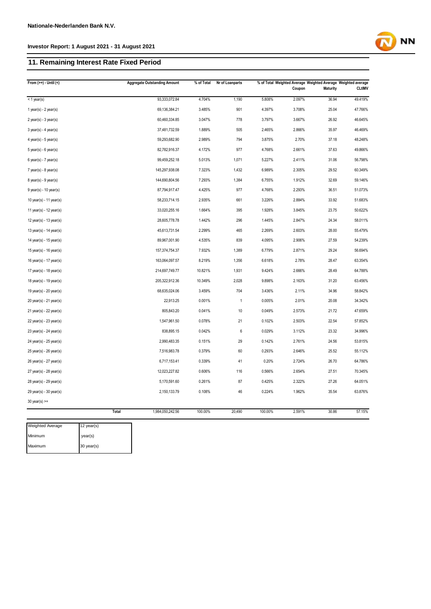#### **11. Remaining Interest Rate Fixed Period**

| From $(>=) -$ Until $($               | <b>Aggregate Outstanding Amount</b> | % of Total | Nr of Loanparts |         | Coupon | % of Total Weighted Average Weighted Average Weighted average<br><b>Maturity</b> | <b>CLtIMV</b> |
|---------------------------------------|-------------------------------------|------------|-----------------|---------|--------|----------------------------------------------------------------------------------|---------------|
| < 1 year(s)                           | 93,333,072.84                       | 4.704%     | 1,190           | 5.808%  | 2.097% | 36.94                                                                            | 49.419%       |
| 1 year(s) - $2$ year(s)               | 69,136,384.21                       | 3.485%     | 901             | 4.397%  | 3.708% | 25.04                                                                            | 47.766%       |
| $2$ year(s) - $3$ year(s)             | 60,460,334.85                       | 3.047%     | 778             | 3.797%  | 3.667% | 26.92                                                                            | 46.645%       |
| $3$ year(s) - 4 year(s)               | 37,481,732.59                       | 1.889%     | 505             | 2.465%  | 2.866% | 35.97                                                                            | 46.469%       |
| 4 year(s) - $5$ year(s)               | 59,293,682.90                       | 2.989%     | 794             | 3.875%  | 2.70%  | 37.18                                                                            | 48.248%       |
| $5$ year(s) - $6$ year(s)             | 82,782,916.37                       | 4.172%     | 977             | 4.768%  | 2.661% | 37.63                                                                            | 49.866%       |
| $6$ year(s) - 7 year(s)               | 99,459,252.18                       | 5.013%     | 1,071           | 5.227%  | 2.411% | 31.06                                                                            | 56.798%       |
| $7$ year(s) - $8$ year(s)             | 145,297,938.08                      | 7.323%     | 1,432           | 6.989%  | 2.305% | 29.52                                                                            | 60.349%       |
| $8$ year(s) - $9$ year(s)             | 144,690,804.56                      | 7.293%     | 1,384           | 6.755%  | 1.912% | 32.69                                                                            | 59.146%       |
| $9$ year(s) - 10 year(s)              | 87,794,917.47                       | 4.425%     | 977             | 4.768%  | 2.293% | 36.51                                                                            | 51.073%       |
| 10 year(s) - 11 year(s)               | 58,233,714.15                       | 2.935%     | 661             | 3.226%  | 2.884% | 33.92                                                                            | 51.683%       |
| 11 year(s) - 12 year(s)               | 33,020,255.16                       | 1.664%     | 395             | 1.928%  | 3.845% | 23.75                                                                            | 50.622%       |
| 12 year(s) - 13 year(s)               | 28,605,778.78                       | 1.442%     | 296             | 1.445%  | 2.847% | 24.34                                                                            | 58.011%       |
| 13 year(s) - 14 year(s)               | 45,613,731.54                       | 2.299%     | 465             | 2.269%  | 2.603% | 28.00                                                                            | 55.479%       |
| 14 year(s) - 15 year(s)               | 89,967,001.90                       | 4.535%     | 839             | 4.095%  | 2.906% | 27.59                                                                            | 54.239%       |
| 15 year(s) - 16 year(s)               | 157,374,754.37                      | 7.932%     | 1,389           | 6.779%  | 2.871% | 29.24                                                                            | 56.694%       |
| 16 year(s) - 17 year(s)               | 163,064,097.57                      | 8.219%     | 1,356           | 6.618%  | 2.78%  | 28.47                                                                            | 63.354%       |
| 17 year(s) - 18 year(s)               | 214,697,749.77                      | 10.821%    | 1,931           | 9.424%  | 2.666% | 28.49                                                                            | 64.788%       |
| 18 year(s) - 19 year(s)               | 205,322,912.36                      | 10.349%    | 2,028           | 9.898%  | 2.163% | 31.20                                                                            | 63.456%       |
| 19 year(s) - 20 year(s)               | 68,635,024.06                       | 3.459%     | 704             | 3.436%  | 2.11%  | 34.96                                                                            | 58.842%       |
| $20$ year(s) - $21$ year(s)           | 22,913.25                           | 0.001%     | $\mathbf{1}$    | 0.005%  | 2.01%  | 20.08                                                                            | 34.342%       |
| $21$ year(s) - $22$ year(s)           | 805,843.20                          | 0.041%     | 10              | 0.049%  | 2.573% | 21.72                                                                            | 47.659%       |
| 22 year(s) - 23 year(s)               | 1,547,961.50                        | 0.078%     | 21              | 0.102%  | 2.503% | 22.54                                                                            | 57.852%       |
| 23 year(s) - 24 year(s)               | 838,895.15                          | 0.042%     | 6               | 0.029%  | 3.112% | 23.32                                                                            | 34.996%       |
| 24 year(s) - 25 year(s)               | 2,990,483.35                        | 0.151%     | 29              | 0.142%  | 2.761% | 24.56                                                                            | 53.815%       |
| 25 year(s) - 26 year(s)               | 7,516,983.78                        | 0.379%     | 60              | 0.293%  | 2.646% | 25.52                                                                            | 55.112%       |
| 26 year(s) - 27 year(s)               | 6,717,153.41                        | 0.339%     | 41              | 0.20%   | 2.724% | 26.70                                                                            | 64.786%       |
| 27 year(s) - 28 year(s)               | 12,023,227.82                       | 0.606%     | 116             | 0.566%  | 2.654% | 27.51                                                                            | 70.345%       |
| 28 year(s) - 29 year(s)               | 5,170,591.60                        | 0.261%     | 87              | 0.425%  | 2.322% | 27.26                                                                            | 64.051%       |
| 29 year(s) - 30 year(s)               | 2,150,133.79                        | 0.108%     | 46              | 0.224%  | 1.962% | 35.54                                                                            | 63.876%       |
| $30$ year(s) >=                       |                                     |            |                 |         |        |                                                                                  |               |
|                                       | 1,984,050,242.56<br><b>Total</b>    | 100.00%    | 20,490          | 100.00% | 2.591% | 30.86                                                                            | 57.15%        |
| <b>Weighted Average</b><br>12 year(s) |                                     |            |                 |         |        |                                                                                  |               |

| <b>Weighted Average</b> | $12$ year(s) |
|-------------------------|--------------|
| Minimum                 | vear(s)      |
| Maximum                 | 30 year(s)   |

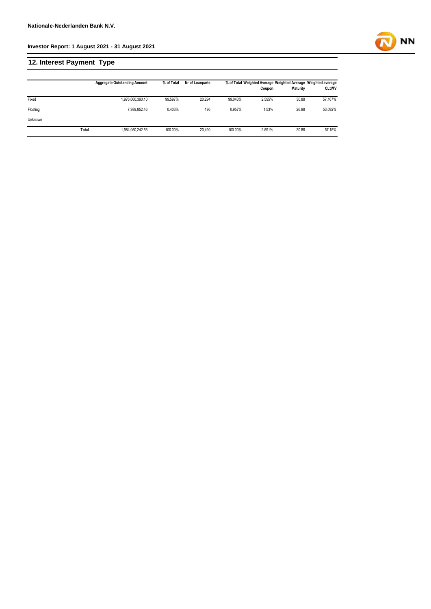## **12. Interest Payment Type**

|                |       | <b>Aggregate Outstanding Amount</b> | % of Total | Nr of Loanparts |         | Coupon | % of Total Weighted Average Weighted Average Weighted average<br><b>Maturity</b> | <b>CLtIMV</b> |
|----------------|-------|-------------------------------------|------------|-----------------|---------|--------|----------------------------------------------------------------------------------|---------------|
| Fixed          |       | 1,976,060,390.10                    | 99.597%    | 20.294          | 99.043% | 2.595% | 30.88                                                                            | 57.167%       |
| Floating       |       | 7.989.852.46                        | 0.403%     | 196             | 0.957%  | 1.53%  | 26.98                                                                            | 53.092%       |
| <b>Unknown</b> |       |                                     |            |                 |         |        |                                                                                  |               |
|                | Total | 1,984,050,242.56                    | 100.00%    | 20.490          | 100.00% | 2.591% | 30.86                                                                            | 57.15%        |

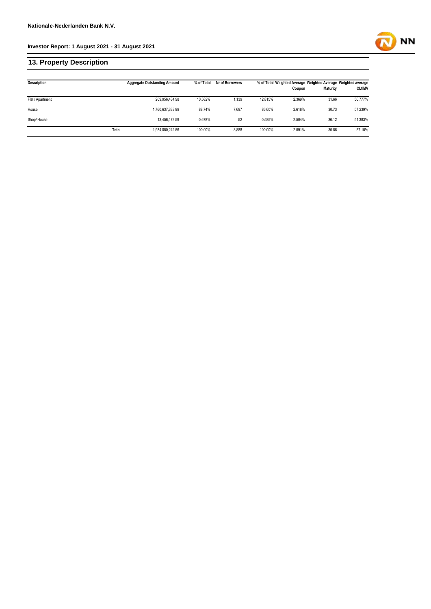#### **13. Property Description**

| <b>Description</b> |       | <b>Aggregate Outstanding Amount</b> | % of Total | Nr of Borrowers |         | % of Total Weighted Average Weighted Average Weighted average<br>Coupon | <b>Maturity</b> | <b>CLtIMV</b> |
|--------------------|-------|-------------------------------------|------------|-----------------|---------|-------------------------------------------------------------------------|-----------------|---------------|
|                    |       |                                     |            |                 |         |                                                                         |                 |               |
| Flat / Apartment   |       | 209,956,434.98                      | 10.582%    | 1.139           | 12.815% | 2.369%                                                                  | 31.66           | 56.777%       |
| House              |       | 1,760,637,333.99                    | 88.74%     | 7.697           | 86.60%  | 2.618%                                                                  | 30.73           | 57.239%       |
| Shop/House         |       | 13.456.473.59                       | 0.678%     | 52              | 0.585%  | 2.504%                                                                  | 36.12           | 51.383%       |
|                    | Total | 1,984,050,242.56                    | 100.00%    | 8,888           | 100.00% | 2.591%                                                                  | 30.86           | 57.15%        |

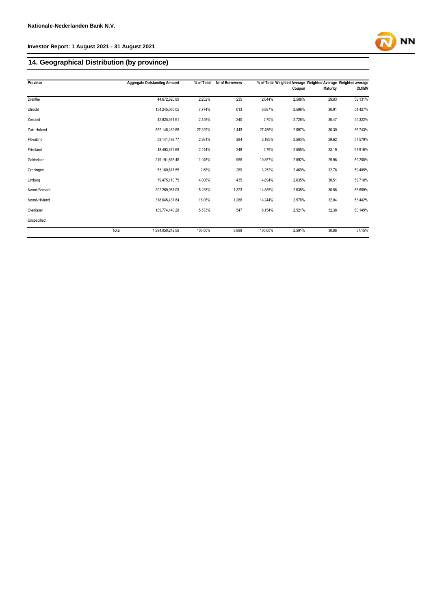#### **14. Geographical Distribution (by province)**

| Province      | <b>Aggregate Outstanding Amount</b> | % of Total | Nr of Borrowers |         | % of Total Weighted Average Weighted Average Weighted average |                 |               |
|---------------|-------------------------------------|------------|-----------------|---------|---------------------------------------------------------------|-----------------|---------------|
|               |                                     |            |                 |         | Coupon                                                        | <b>Maturity</b> | <b>CLtIMV</b> |
| Drenthe       | 44,672,820.89                       | 2.252%     | 235             | 2.644%  | 2.588%                                                        | 29.83           | 59.131%       |
| Utrecht       | 154,245,066.05                      | 7.774%     | 613             | 6.897%  | 2.598%                                                        | 30.91           | 54.427%       |
| Zeeland       | 42,825,571.61                       | 2.158%     | 240             | 2.70%   | 2.728%                                                        | 30.47           | 55.322%       |
| Zuid-Holland  | 552,145,482.66                      | 27.829%    | 2,443           | 27.486% | 2.597%                                                        | 30.30           | 56.743%       |
| Flevoland     | 59,141,499.77                       | 2.981%     | 284             | 3.195%  | 2.503%                                                        | 29.62           | 57.579%       |
| Friesland     | 48,493,872.66                       | 2.444%     | 248             | 2.79%   | 2.505%                                                        | 33.19           | 61.916%       |
| Gelderland    | 219,191,665.45                      | 11.048%    | 965             | 10.857% | 2.592%                                                        | 29.98           | 59.208%       |
| Groningen     | 53,169,617.55                       | 2.68%      | 289             | 3.252%  | 2.469%                                                        | 32.78           | 59.405%       |
| Limburg       | 79,475,110.75                       | 4.006%     | 435             | 4.894%  | 2.635%                                                        | 30.51           | 59.718%       |
| Noord-Brabant | 302,269,957.05                      | 15.235%    | 1,323           | 14.885% | 2.635%                                                        | 30.56           | 58.659%       |
| Noord-Holland | 318,645,437.84                      | 16.06%     | 1,266           | 14.244% | 2.578%                                                        | 32.04           | 53.442%       |
| Overijssel    | 109,774,140.28                      | 5.533%     | 547             | 6.154%  | 2.521%                                                        | 32.38           | 60.149%       |
| Unspecified   |                                     |            |                 |         |                                                               |                 |               |
|               | <b>Total</b><br>1,984,050,242.56    | 100.00%    | 8,888           | 100.00% | 2.591%                                                        | 30.86           | 57.15%        |

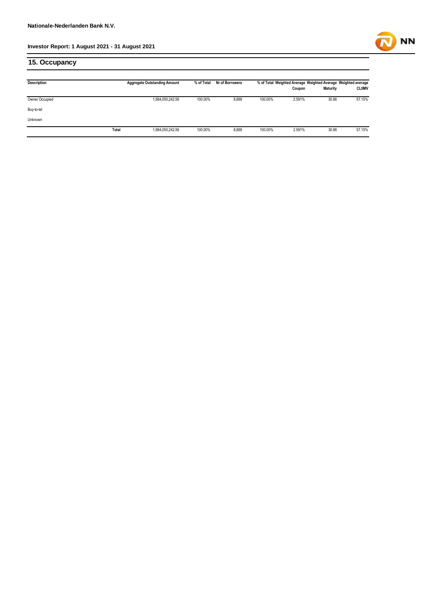

#### **15. Occupancy**

| <b>Description</b> |       | <b>Aggregate Outstanding Amount</b> | % of Total | Nr of Borrowers |         | % of Total Weighted Average Weighted Average Weighted average<br>Coupon | <b>Maturity</b> | <b>CLtIMV</b> |
|--------------------|-------|-------------------------------------|------------|-----------------|---------|-------------------------------------------------------------------------|-----------------|---------------|
| Owner Occupied     |       | 1,984,050,242.56                    | 100.00%    | 8,888           | 100.00% | 2.591%                                                                  | 30.86           | 57.15%        |
| Buy-to-let         |       |                                     |            |                 |         |                                                                         |                 |               |
| Unknown            |       |                                     |            |                 |         |                                                                         |                 |               |
|                    | Total | 1,984,050,242.56                    | 100.00%    | 8,888           | 100.00% | 2.591%                                                                  | 30.86           | 57.15%        |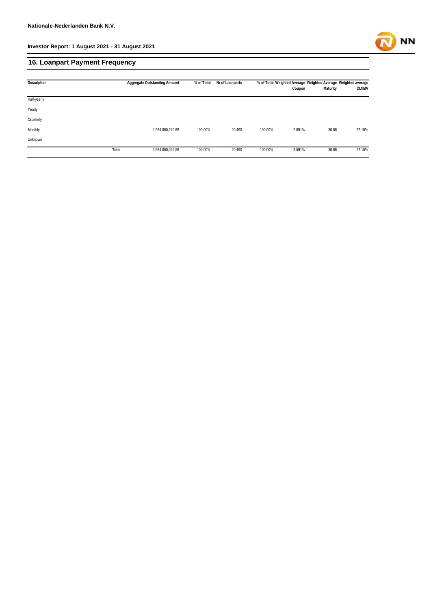

#### **16. Loanpart Payment Frequency**

| <b>Description</b> |       | <b>Aggregate Outstanding Amount</b><br>% of Total |         | Nr of Loanparts | % of Total Weighted Average Weighted Average Weighted average |        |                 |               |
|--------------------|-------|---------------------------------------------------|---------|-----------------|---------------------------------------------------------------|--------|-----------------|---------------|
|                    |       |                                                   |         |                 |                                                               | Coupon | <b>Maturity</b> | <b>CLtIMV</b> |
| Half-yearly        |       |                                                   |         |                 |                                                               |        |                 |               |
| Yearly             |       |                                                   |         |                 |                                                               |        |                 |               |
| Quarterly          |       |                                                   |         |                 |                                                               |        |                 |               |
| Monthly            |       | 1,984,050,242.56                                  | 100.00% | 20,490          | 100.00%                                                       | 2.591% | 30.86           | 57.15%        |
| Unknown            |       |                                                   |         |                 |                                                               |        |                 |               |
|                    | Total | 1,984,050,242.56                                  | 100.00% | 20,490          | 100.00%                                                       | 2.591% | 30.86           | 57.15%        |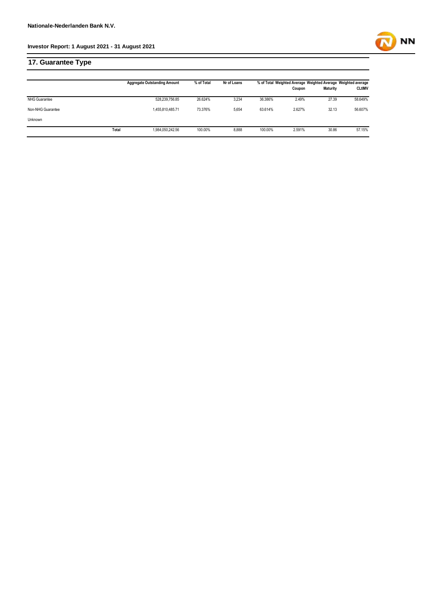**17. Guarantee Type**

|                   |       | <b>Aggregate Outstanding Amount</b> | % of Total | Nr of Loans |         | % of Total Weighted Average Weighted Average Weighted average<br>Coupon | <b>Maturity</b> | <b>CLtIMV</b> |
|-------------------|-------|-------------------------------------|------------|-------------|---------|-------------------------------------------------------------------------|-----------------|---------------|
| NHG Guarantee     |       | 528,239,756.85                      | 26.624%    | 3,234       | 36.386% | 2.49%                                                                   | 27.39           | 58.649%       |
| Non-NHG Guarantee |       | 1,455,810,485.71                    | 73.376%    | 5,654       | 63.614% | 2.627%                                                                  | 32.13           | 56.607%       |
| Unknown           |       |                                     |            |             |         |                                                                         |                 |               |
|                   | Total | 1,984,050,242.56                    | 100.00%    | 8,888       | 100.00% | 2.591%                                                                  | 30.86           | 57.15%        |

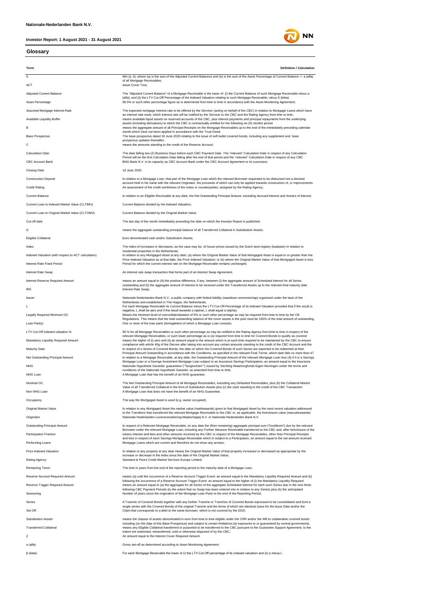#### **Glossary**



**NN**